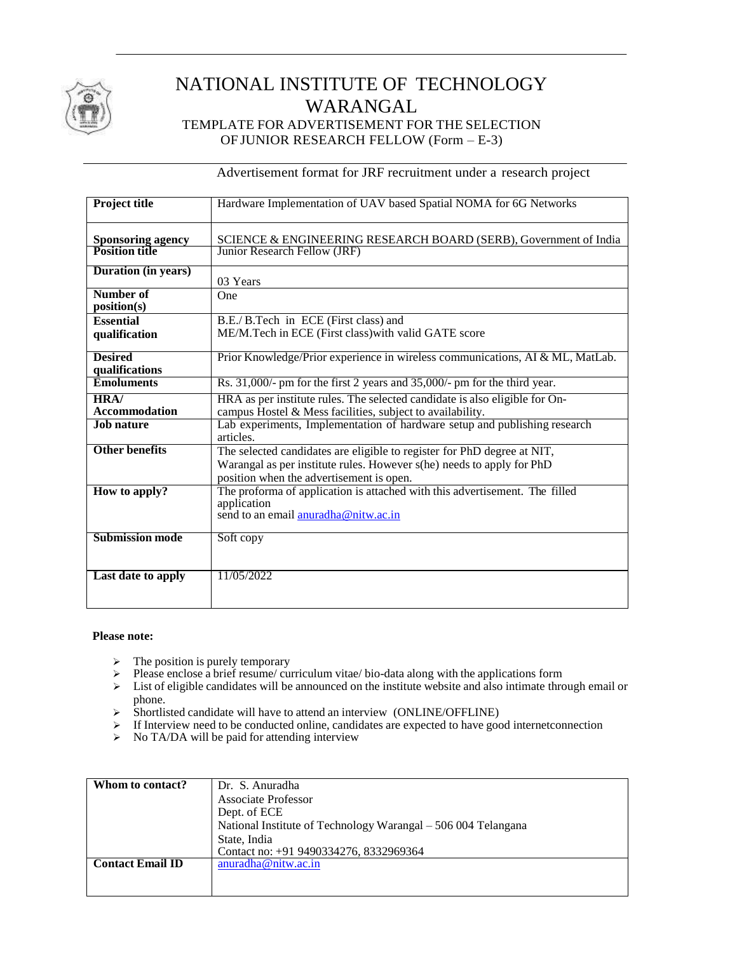

# NATIONAL INSTITUTE OF TECHNOLOGY WARANGAL TEMPLATE FOR ADVERTISEMENT FOR THE SELECTION OF JUNIOR RESEARCH FELLOW (Form – E-3)

Advertisement format for JRF recruitment under a research project

| <b>Project title</b>                              | Hardware Implementation of UAV based Spatial NOMA for 6G Networks                                                                                                                            |  |  |  |
|---------------------------------------------------|----------------------------------------------------------------------------------------------------------------------------------------------------------------------------------------------|--|--|--|
| <b>Sponsoring agency</b><br><b>Position title</b> | SCIENCE & ENGINEERING RESEARCH BOARD (SERB), Government of India<br>Junior Research Fellow (JRF)                                                                                             |  |  |  |
| Duration (in years)                               | 03 Years                                                                                                                                                                                     |  |  |  |
| Number of<br>position(s)                          | One                                                                                                                                                                                          |  |  |  |
| <b>Essential</b><br>qualification                 | B.E./ B.Tech in ECE (First class) and<br>ME/M.Tech in ECE (First class) with valid GATE score                                                                                                |  |  |  |
| <b>Desired</b><br>qualifications                  | Prior Knowledge/Prior experience in wireless communications, AI & ML, MatLab.                                                                                                                |  |  |  |
| <b>Emoluments</b>                                 | Rs. $31,000/$ - pm for the first 2 years and $35,000/$ - pm for the third year.                                                                                                              |  |  |  |
| HRA/<br><b>Accommodation</b>                      | HRA as per institute rules. The selected candidate is also eligible for On-<br>campus Hostel & Mess facilities, subject to availability.                                                     |  |  |  |
| <b>Job nature</b>                                 | Lab experiments, Implementation of hardware setup and publishing research<br>articles.                                                                                                       |  |  |  |
| <b>Other benefits</b>                             | The selected candidates are eligible to register for PhD degree at NIT,<br>Warangal as per institute rules. However s(he) needs to apply for PhD<br>position when the advertisement is open. |  |  |  |
| How to apply?                                     | The proforma of application is attached with this advertisement. The filled<br>application<br>send to an email anuradha@nitw.ac.in                                                           |  |  |  |
| <b>Submission mode</b>                            | Soft copy                                                                                                                                                                                    |  |  |  |
| Last date to apply                                | 11/05/2022                                                                                                                                                                                   |  |  |  |

## **Please note:**

- $\triangleright$  The position is purely temporary
- $\triangleright$  Please enclose a brief resume/ curriculum vitae/ bio-data along with the applications form
- $\triangleright$  List of eligible candidates will be announced on the institute website and also intimate through email or phone.
- Shortlisted candidate will have to attend an interview (ONLINE/OFFLINE)
- $\triangleright$  If Interview need to be conducted online, candidates are expected to have good internet connection
- > No TA/DA will be paid for attending interview

| Whom to contact?        | Dr. S. Anuradha                                               |
|-------------------------|---------------------------------------------------------------|
|                         | <b>Associate Professor</b>                                    |
|                         | Dept. of ECE                                                  |
|                         | National Institute of Technology Warangal - 506 004 Telangana |
|                         | State, India                                                  |
|                         | Contact no: +91 9490334276, 8332969364                        |
| <b>Contact Email ID</b> | anuradha@nitw.ac.in                                           |
|                         |                                                               |
|                         |                                                               |